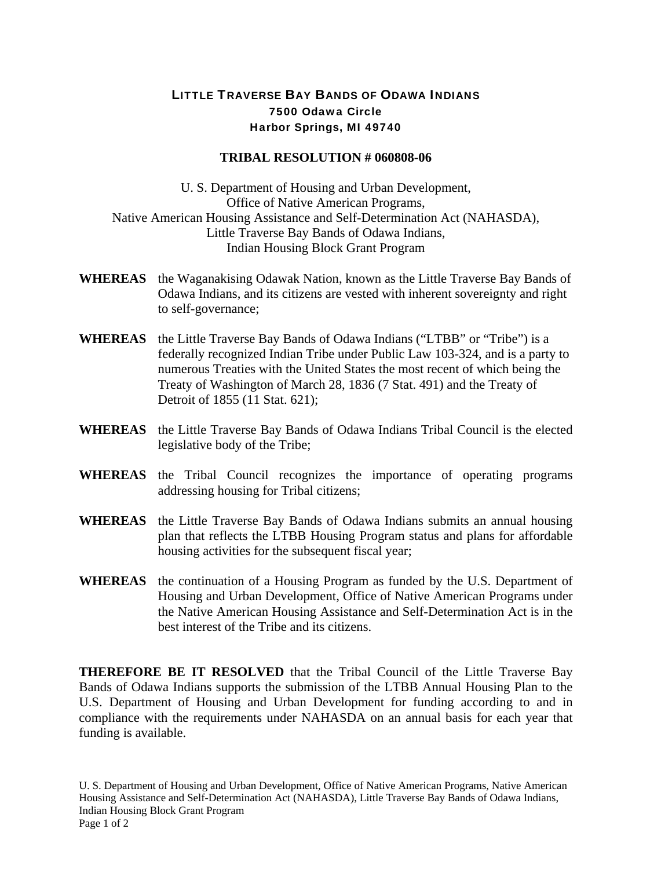## LITTLE TRAVERSE BAY BANDS OF ODAWA INDIANS 7500 Odawa Circle Harbor Springs, MI 49740

## **TRIBAL RESOLUTION # 060808-06**

U. S. Department of Housing and Urban Development, Office of Native American Programs, Native American Housing Assistance and Self-Determination Act (NAHASDA), Little Traverse Bay Bands of Odawa Indians, Indian Housing Block Grant Program

- **WHEREAS** the Waganakising Odawak Nation, known as the Little Traverse Bay Bands of Odawa Indians, and its citizens are vested with inherent sovereignty and right to self-governance;
- **WHEREAS** the Little Traverse Bay Bands of Odawa Indians ("LTBB" or "Tribe") is a federally recognized Indian Tribe under Public Law 103-324, and is a party to numerous Treaties with the United States the most recent of which being the Treaty of Washington of March 28, 1836 (7 Stat. 491) and the Treaty of Detroit of 1855 (11 Stat. 621);
- **WHEREAS** the Little Traverse Bay Bands of Odawa Indians Tribal Council is the elected legislative body of the Tribe;
- **WHEREAS** the Tribal Council recognizes the importance of operating programs addressing housing for Tribal citizens;
- **WHEREAS** the Little Traverse Bay Bands of Odawa Indians submits an annual housing plan that reflects the LTBB Housing Program status and plans for affordable housing activities for the subsequent fiscal year;
- **WHEREAS** the continuation of a Housing Program as funded by the U.S. Department of Housing and Urban Development, Office of Native American Programs under the Native American Housing Assistance and Self-Determination Act is in the best interest of the Tribe and its citizens.

**THEREFORE BE IT RESOLVED** that the Tribal Council of the Little Traverse Bay Bands of Odawa Indians supports the submission of the LTBB Annual Housing Plan to the U.S. Department of Housing and Urban Development for funding according to and in compliance with the requirements under NAHASDA on an annual basis for each year that funding is available.